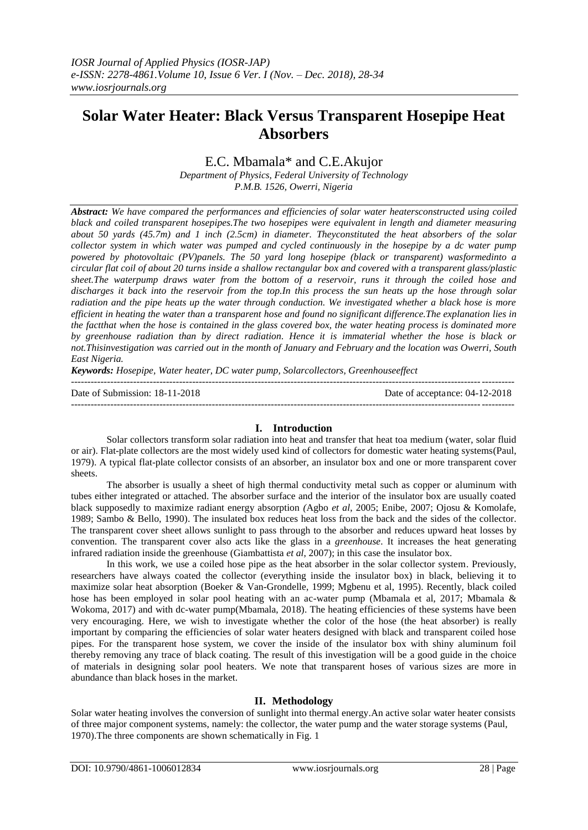# **Solar Water Heater: Black Versus Transparent Hosepipe Heat Absorbers**

E.C. Mbamala\* and C.E.Akujor

*Department of Physics, Federal University of Technology P.M.B. 1526, Owerri, Nigeria*

*Abstract: We have compared the performances and efficiencies of solar water heatersconstructed using coiled black and coiled transparent hosepipes.The two hosepipes were equivalent in length and diameter measuring about 50 yards (45.7m) and 1 inch (2.5cm) in diameter. Theyconstituted the heat absorbers of the solar collector system in which water was pumped and cycled continuously in the hosepipe by a dc water pump powered by photovoltaic (PV)panels. The 50 yard long hosepipe (black or transparent) wasformedinto a circular flat coil of about 20 turns inside a shallow rectangular box and covered with a transparent glass/plastic sheet.The waterpump draws water from the bottom of a reservoir, runs it through the coiled hose and discharges it back into the reservoir from the top.In this process the sun heats up the hose through solar radiation and the pipe heats up the water through conduction. We investigated whether a black hose is more efficient in heating the water than a transparent hose and found no significant difference.The explanation lies in the factthat when the hose is contained in the glass covered box, the water heating process is dominated more by greenhouse radiation than by direct radiation. Hence it is immaterial whether the hose is black or not.Thisinvestigation was carried out in the month of January and February and the location was Owerri, South East Nigeria.*

*Keywords: Hosepipe, Water heater, DC water pump, Solarcollectors, Greenhouseeffect* ---------------------------------------------------------------------------------------------------------------------------------------

| Date of Submission: 18-11-2018 | Date of acceptance: 04-12-2018 |
|--------------------------------|--------------------------------|
|                                |                                |

## **I. Introduction**

Solar collectors transform solar radiation into heat and transfer that heat toa medium (water, solar fluid or air). Flat-plate collectors are the most widely used kind of collectors for domestic water heating systems(Paul, 1979). A typical flat-plate collector consists of an absorber, an insulator box and one or more transparent cover sheets.

The absorber is usually a sheet of high thermal conductivity metal such as copper or aluminum with tubes either integrated or attached. The absorber surface and the interior of the insulator box are usually coated black supposedly to maximize radiant energy absorption *(*Agbo *et al*, 2005; Enibe, 2007; Ojosu & Komolafe, 1989; Sambo & Bello, 1990). The insulated box reduces heat loss from the back and the sides of the collector. The transparent cover sheet allows sunlight to pass through to the absorber and reduces upward heat losses by convention. The transparent cover also acts like the glass in a *greenhouse*. It increases the heat generating infrared radiation inside the greenhouse (Giambattista *et al*, 2007); in this case the insulator box.

In this work, we use a coiled hose pipe as the heat absorber in the solar collector system. Previously, researchers have always coated the collector (everything inside the insulator box) in black, believing it to maximize solar heat absorption (Boeker & Van-Grondelle, 1999; Mgbenu et al, 1995). Recently, black coiled hose has been employed in solar pool heating with an ac-water pump (Mbamala et al, 2017; Mbamala & Wokoma, 2017) and with dc-water pump(Mbamala, 2018). The heating efficiencies of these systems have been very encouraging. Here, we wish to investigate whether the color of the hose (the heat absorber) is really important by comparing the efficiencies of solar water heaters designed with black and transparent coiled hose pipes. For the transparent hose system, we cover the inside of the insulator box with shiny aluminum foil thereby removing any trace of black coating. The result of this investigation will be a good guide in the choice of materials in designing solar pool heaters. We note that transparent hoses of various sizes are more in abundance than black hoses in the market.

## **II. Methodology**

Solar water heating involves the conversion of [sunlight](http://en.wikipedia.org/wiki/Sunlight) into thermal energy.An active solar water heater consists of three major component systems, namely: the collector, the water pump and the water storage systems (Paul, 1970).The three components are shown schematically in Fig. 1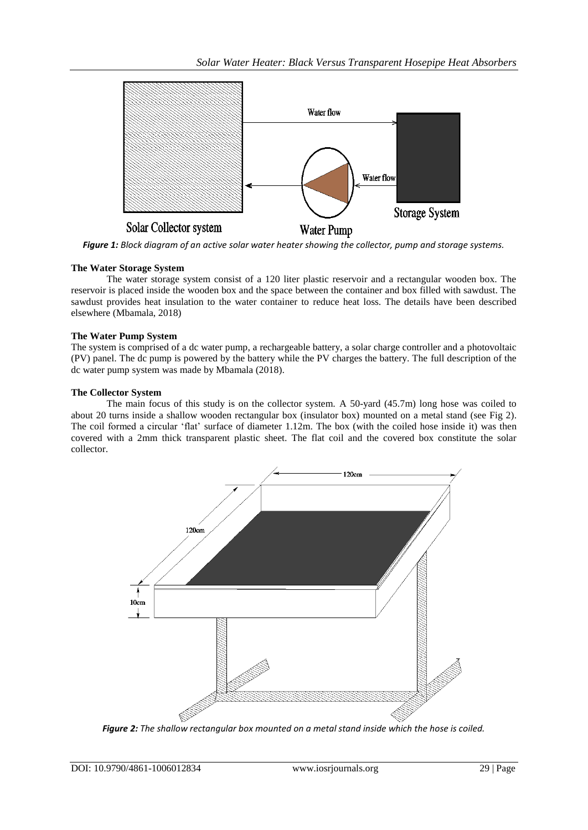

*Figure 1: Block diagram of an active solar water heater showing the collector, pump and storage systems.*

# **The Water Storage System**

The water storage system consist of a 120 liter plastic reservoir and a rectangular wooden box. The reservoir is placed inside the wooden box and the space between the container and box filled with sawdust. The sawdust provides heat insulation to the water container to reduce heat loss. The details have been described elsewhere (Mbamala, 2018)

# **The Water Pump System**

The system is comprised of a dc water pump, a rechargeable battery, a solar charge controller and a photovoltaic (PV) panel. The dc pump is powered by the battery while the PV charges the battery. The full description of the dc water pump system was made by Mbamala (2018).

# **The Collector System**

The main focus of this study is on the collector system. A 50-yard (45.7m) long hose was coiled to about 20 turns inside a shallow wooden rectangular box (insulator box) mounted on a metal stand (see Fig 2). The coil formed a circular 'flat' surface of diameter 1.12m. The box (with the coiled hose inside it) was then covered with a 2mm thick transparent plastic sheet. The flat coil and the covered box constitute the solar collector.



*Figure 2: The shallow rectangular box mounted on a metal stand inside which the hose is coiled.*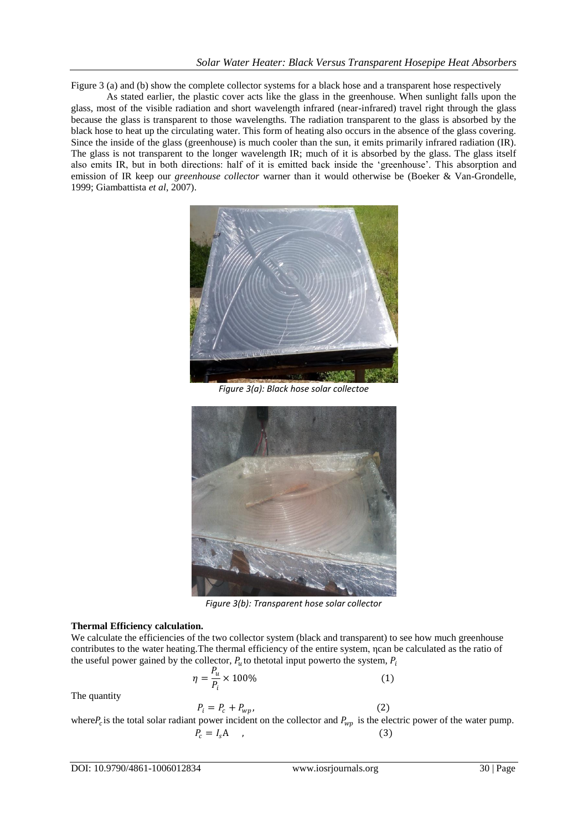Figure 3 (a) and (b) show the complete collector systems for a black hose and a transparent hose respectively

As stated earlier, the plastic cover acts like the glass in the greenhouse. When sunlight falls upon the glass, most of the visible radiation and short wavelength infrared (near-infrared) travel right through the glass because the glass is transparent to those wavelengths. The radiation transparent to the glass is absorbed by the black hose to heat up the circulating water. This form of heating also occurs in the absence of the glass covering. Since the inside of the glass (greenhouse) is much cooler than the sun, it emits primarily infrared radiation (IR). The glass is not transparent to the longer wavelength IR; much of it is absorbed by the glass. The glass itself also emits IR, but in both directions: half of it is emitted back inside the 'greenhouse'. This absorption and emission of IR keep our *greenhouse collector* warner than it would otherwise be (Boeker & Van-Grondelle, 1999; Giambattista *et al*, 2007).



*Figure 3(a): Black hose solar collectoe*



*Figure 3(b): Transparent hose solar collector*

## **Thermal Efficiency calculation.**

We calculate the efficiencies of the two collector system (black and transparent) to see how much greenhouse contributes to the water heating.The thermal efficiency of the entire system, ηcan be calculated as the ratio of the useful power gained by the collector,  $P_u$  to the total input powerto the system,  $P_i$ 

$$
\eta = \frac{P_u}{P_i} \times 100\%
$$
\n(1)

The quantity

 $P_i = P_c + P_{wp}$ , ,  $(2)$ where  $P_c$  is the total solar radiant power incident on the collector and  $P_{wp}$  is the electric power of the water pump.  $P_c = I_s A$  , (3)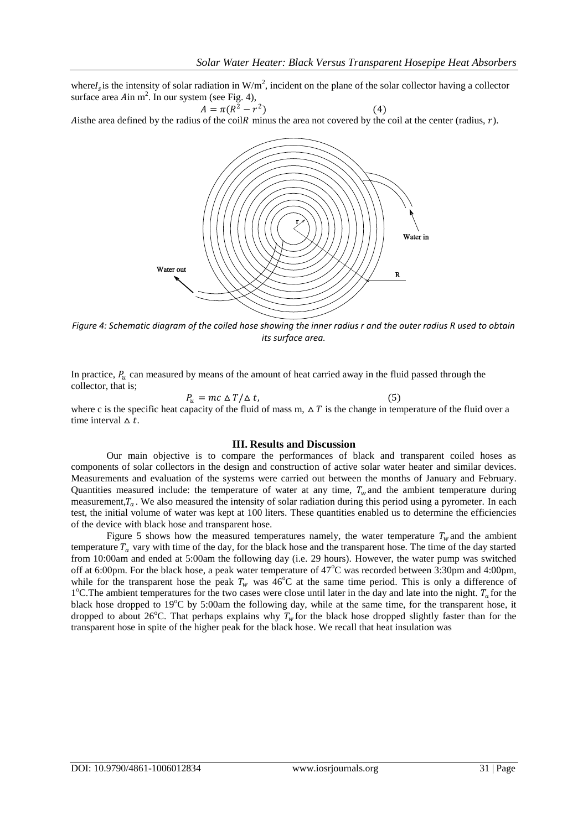where $I_s$  is the intensity of solar radiation in W/m<sup>2</sup>, incident on the plane of the solar collector having a collector surface area  $A$ in m<sup>2</sup>. In our system (see Fig. 4),

 $A = \pi (R^2 - r^2)$ ) (4) Aisthe area defined by the radius of the coil R minus the area not covered by the coil at the center (radius,  $r$ ).



*Figure 4: Schematic diagram of the coiled hose showing the inner radius r and the outer radius R used to obtain its surface area.*

In practice,  $P_u$  can measured by means of the amount of heat carried away in the fluid passed through the collector, that is;

$$
P_u = mc \Delta T / \Delta t, \qquad (5)
$$

where c is the specific heat capacity of the fluid of mass m,  $\Delta T$  is the change in temperature of the fluid over a time interval  $\Delta t$ .

#### **III. Results and Discussion**

Our main objective is to compare the performances of black and transparent coiled hoses as components of solar collectors in the design and construction of active solar water heater and similar devices. Measurements and evaluation of the systems were carried out between the months of January and February. Quantities measured include: the temperature of water at any time,  $T_w$  and the ambient temperature during measurement, $T_a$ . We also measured the intensity of solar radiation during this period using a pyrometer. In each test, the initial volume of water was kept at 100 liters. These quantities enabled us to determine the efficiencies of the device with black hose and transparent hose.

Figure 5 shows how the measured temperatures namely, the water temperature  $T_w$  and the ambient temperature  $T_a$  vary with time of the day, for the black hose and the transparent hose. The time of the day started from 10:00am and ended at 5:00am the following day (i.e. 29 hours). However, the water pump was switched off at 6:00pm. For the black hose, a peak water temperature of  $47^{\circ}$ C was recorded between 3:30pm and 4:00pm, while for the transparent hose the peak  $T_w$  was 46<sup>o</sup>C at the same time period. This is only a difference of 1°C. The ambient temperatures for the two cases were close until later in the day and late into the night.  $T_a$  for the black hose dropped to  $19^{\circ}$ C by 5:00am the following day, while at the same time, for the transparent hose, it dropped to about 26<sup>o</sup>C. That perhaps explains why  $T_w$  for the black hose dropped slightly faster than for the transparent hose in spite of the higher peak for the black hose. We recall that heat insulation was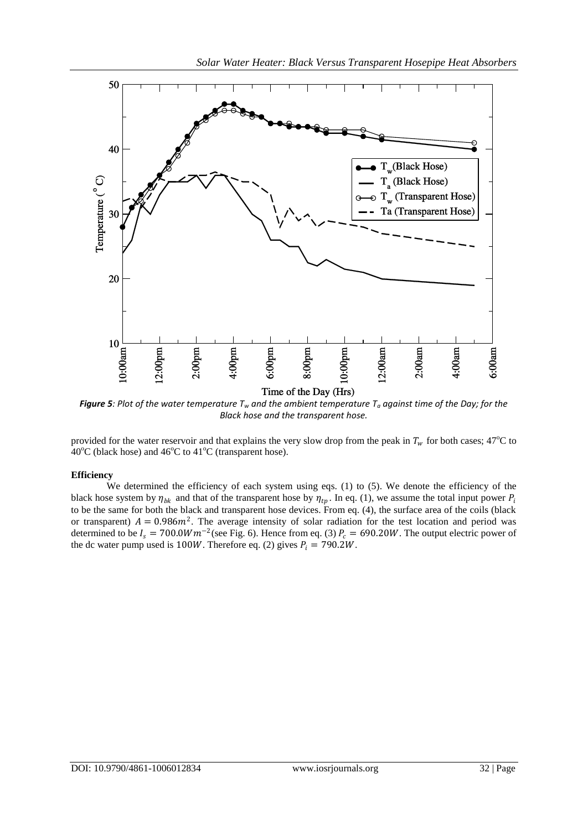

*Figure 5: Plot of the water temperature*  $T_w$  *and the ambient temperature*  $T_a$  *against time of the Day; for the Black hose and the transparent hose.*

provided for the water reservoir and that explains the very slow drop from the peak in  $T_w$  for both cases; 47<sup>o</sup>C to  $40^{\circ}$ C (black hose) and  $46^{\circ}$ C to  $41^{\circ}$ C (transparent hose).

## **Efficiency**

We determined the efficiency of each system using eqs. (1) to (5). We denote the efficiency of the black hose system by  $\eta_{bk}$  and that of the transparent hose by  $\eta_{tp}$ . In eq. (1), we assume the total input power  $P_i$ to be the same for both the black and transparent hose devices. From eq. (4), the surface area of the coils (black or transparent)  $A = 0.986m^2$ . The average intensity of solar radiation for the test location and period was determined to be  $I_s = 700.0Wm^{-2}$  (see Fig. 6). Hence from eq. (3)  $P_c = 690.20W$ . The output electric power of the dc water pump used is 100W. Therefore eq. (2) gives  $P_i = 790.2W$ .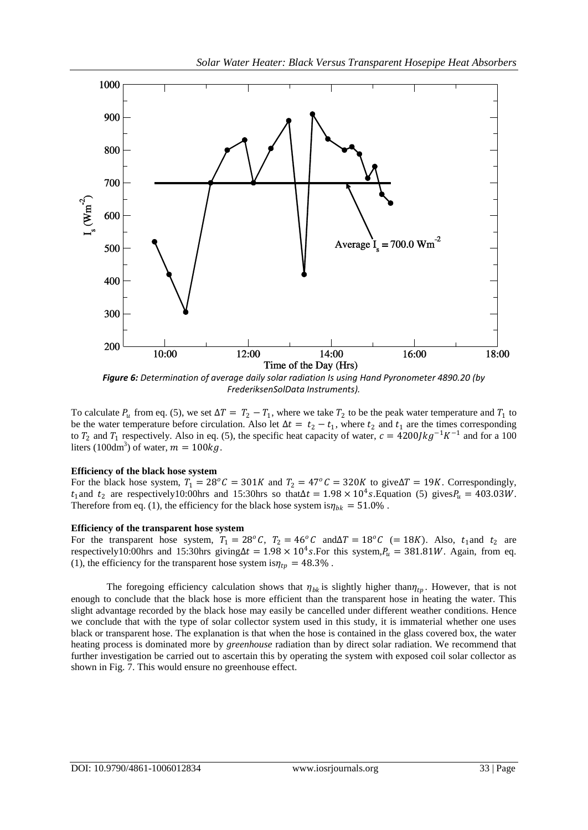

*Figure 6: Determination of average daily solar radiation Is using Hand Pyronometer 4890.20 (by FrederiksenSolData Instruments).*

To calculate  $P_u$  from eq. (5), we set  $\Delta T = T_2 - T_1$ , where we take  $T_2$  to be the peak water temperature and  $T_1$  to be the water temperature before circulation. Also let  $\Delta t = t_2 - t_1$ , where  $t_2$  and  $t_1$  are the times corresponding to  $T_2$  and  $T_1$  respectively. Also in eq. (5), the specific heat capacity of water,  $c = 4200/kg^{-1}K^{-1}$  and for a 100 liters (100dm<sup>3</sup>) of water,  $m = 100kg$ .

#### **Efficiency of the black hose system**

For the black hose system,  $T_1 = 28^\circ C = 301K$  and  $T_2 = 47^\circ C = 320K$  to give $\Delta T = 19K$ . Correspondingly,  $t_1$  and  $t_2$  are respectively10:00 hrs and 15:30 hrs so that  $\Delta t = 1.98 \times 10^4 s$ . Equation (5) gives  $P_u = 403.03 W$ . Therefore from eq. (1), the efficiency for the black hose system is  $\eta_{bk} = 51.0\%$ .

#### **Efficiency of the transparent hose system**

For the transparent hose system,  $T_1 = 28^\circ C$ ,  $T_2 = 46^\circ C$  and  $\Delta T = 18^\circ C$  (= 18K). Also,  $t_1$  and  $t_2$  are respectively10:00hrs and 15:30hrs giving  $\Delta t = 1.98 \times 10^4 s$ . For this system,  $P_u = 381.81W$ . Again, from eq. (1), the efficiency for the transparent hose system is  $\eta_{tv} = 48.3\%$ .

The foregoing efficiency calculation shows that  $\eta_{bk}$  is slightly higher than  $\eta_{tp}$ . However, that is not enough to conclude that the black hose is more efficient than the transparent hose in heating the water. This slight advantage recorded by the black hose may easily be cancelled under different weather conditions. Hence we conclude that with the type of solar collector system used in this study, it is immaterial whether one uses black or transparent hose. The explanation is that when the hose is contained in the glass covered box, the water heating process is dominated more by *greenhouse* radiation than by direct solar radiation. We recommend that further investigation be carried out to ascertain this by operating the system with exposed coil solar collector as shown in Fig. 7. This would ensure no greenhouse effect.